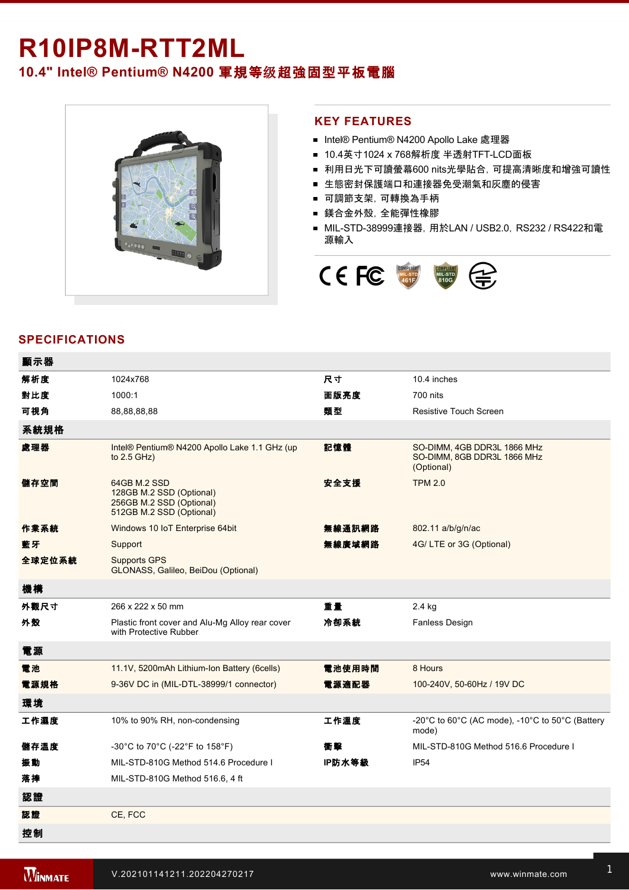## **R10IP8MRTT2ML 10.4" Intel® Pentium® N4200** 軍規等级超強固型平板電腦



## **KEY FEATURES**

- Intel® Pentium® N4200 Apollo Lake 處理器
- 10.4英寸1024 x 768解析度 半透射TFT-LCD面板
- 利用日光下可讀螢幕600 nits光學貼合, 可提高清晰度和增強可讀性
- 生態密封保護端口和連接器免受潮氣和灰塵的侵害
- 可調節支架,可轉換為手柄
- 鎂合金外殼,全能彈性橡膠
- MIL-STD-38999連接器, 用於LAN / USB2.0, RS232 / RS422和電 源輸入



## **SPECIFICATIONS**

| 顯示器    |                                                                                                  |        |                                                                                                      |
|--------|--------------------------------------------------------------------------------------------------|--------|------------------------------------------------------------------------------------------------------|
| 解析度    | 1024x768                                                                                         | 尺寸     | 10.4 inches                                                                                          |
| 對比度    | 1000:1                                                                                           | 面版亮度   | 700 nits                                                                                             |
| 可視角    | 88,88,88,88                                                                                      | 類型     | Resistive Touch Screen                                                                               |
| 系統規格   |                                                                                                  |        |                                                                                                      |
| 處理器    | Intel® Pentium® N4200 Apollo Lake 1.1 GHz (up<br>to $2.5$ GHz)                                   | 記憶體    | SO-DIMM, 4GB DDR3L 1866 MHz<br>SO-DIMM, 8GB DDR3L 1866 MHz<br>(Optional)                             |
| 儲存空間   | 64GB M.2 SSD<br>128GB M.2 SSD (Optional)<br>256GB M.2 SSD (Optional)<br>512GB M.2 SSD (Optional) | 安全支援   | <b>TPM 2.0</b>                                                                                       |
| 作業系統   | Windows 10 IoT Enterprise 64bit                                                                  | 無線通訊網路 | 802.11 a/b/g/n/ac                                                                                    |
| 藍牙     | Support                                                                                          | 無線廣域網路 | 4G/LTE or 3G (Optional)                                                                              |
| 全球定位系統 | <b>Supports GPS</b><br>GLONASS, Galileo, BeiDou (Optional)                                       |        |                                                                                                      |
| 機構     |                                                                                                  |        |                                                                                                      |
| 外觀尺寸   | 266 x 222 x 50 mm                                                                                | 重量     | 2.4 kg                                                                                               |
| 外殼     | Plastic front cover and Alu-Mg Alloy rear cover<br>with Protective Rubber                        | 冷卻系統   | <b>Fanless Design</b>                                                                                |
| 電源     |                                                                                                  |        |                                                                                                      |
| 電池     | 11.1V, 5200mAh Lithium-Ion Battery (6cells)                                                      | 電池使用時間 | 8 Hours                                                                                              |
| 電源規格   | 9-36V DC in (MIL-DTL-38999/1 connector)                                                          | 電源適配器  | 100-240V, 50-60Hz / 19V DC                                                                           |
| 環境     |                                                                                                  |        |                                                                                                      |
|        |                                                                                                  |        |                                                                                                      |
| 工作濕度   | 10% to 90% RH, non-condensing                                                                    | 工作溫度   | -20 $^{\circ}$ C to 60 $^{\circ}$ C (AC mode), -10 $^{\circ}$ C to 50 $^{\circ}$ C (Battery<br>mode) |
| 儲存溫度   | -30°C to 70°C (-22°F to 158°F)                                                                   | 衝擊     | MIL-STD-810G Method 516.6 Procedure I                                                                |
| 振動     | MIL-STD-810G Method 514.6 Procedure I                                                            | IP防水等級 | IP <sub>54</sub>                                                                                     |
| 落摔     | MIL-STD-810G Method 516.6, 4 ft                                                                  |        |                                                                                                      |
| 認證     |                                                                                                  |        |                                                                                                      |
| 認證     | CE, FCC                                                                                          |        |                                                                                                      |

2 x Brightness Control Key